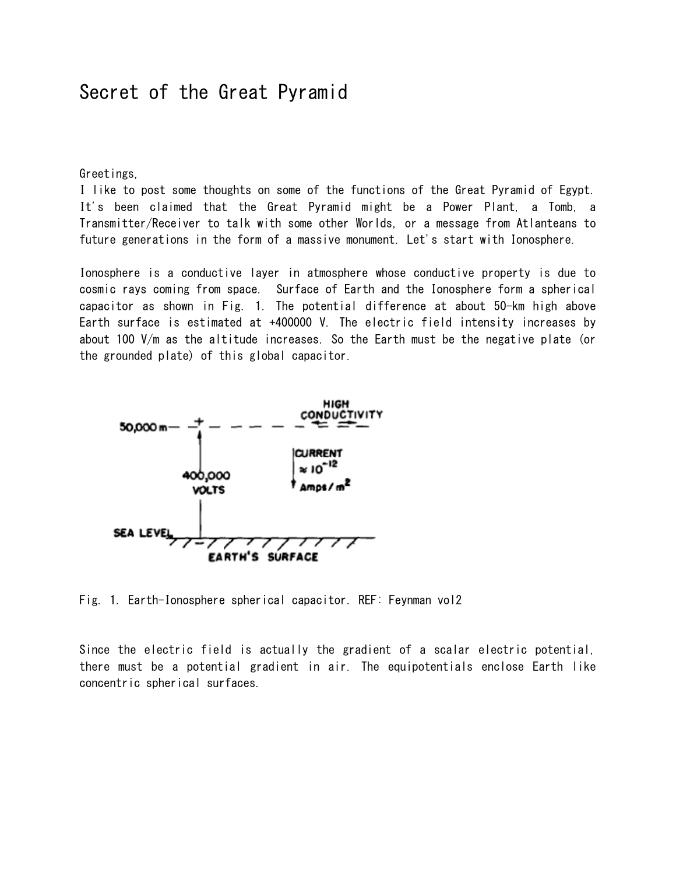## Secret of the Great Pyramid

Greetings,

I like to post some thoughts on some of the functions of the Great Pyramid of Egypt. It's been claimed that the Great Pyramid might be a Power Plant, a Tomb, a Transmitter/Receiver to talk with some other Worlds, or a message from Atlanteans to future generations in the form of a massive monument. Let's start with Ionosphere.

Ionosphere is a conductive layer in atmosphere whose conductive property is due to cosmic rays coming from space. Surface of Earth and the Ionosphere form a spherical capacitor as shown in Fig. 1. The potential difference at about 50-km high above Earth surface is estimated at +400000 V. The electric field intensity increases by about 100 V/m as the altitude increases. So the Earth must be the negative plate (or the grounded plate) of this global capacitor.



Fig. 1. Earth-Ionosphere spherical capacitor. REF: Feynman vol2

Since the electric field is actually the gradient of a scalar electric potential, there must be a potential gradient in air. The equipotentials enclose Earth like concentric spherical surfaces.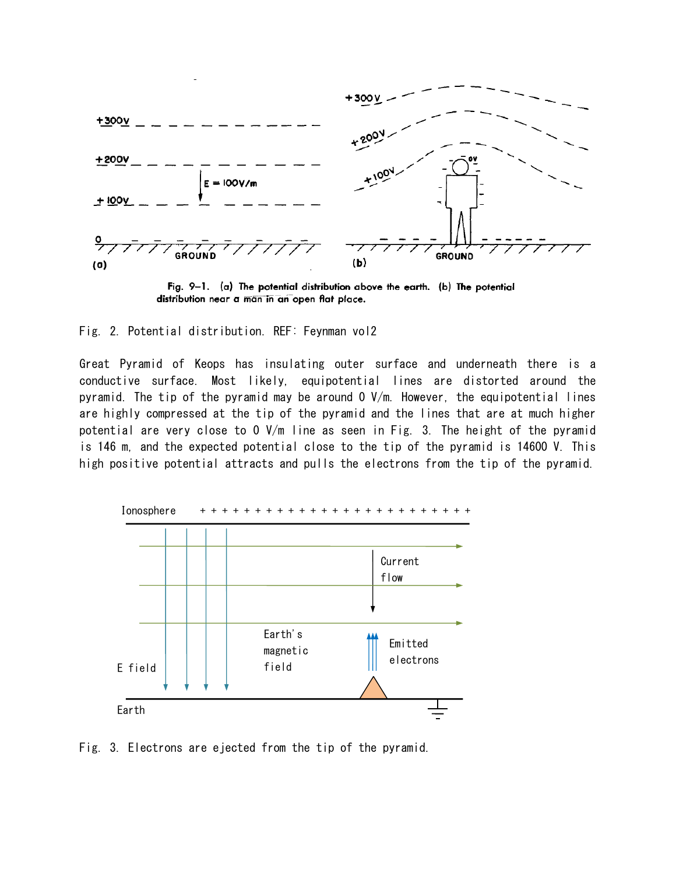

Fig. 9-1. (a) The potential distribution above the earth. (b) The potential distribution near a man in an open flat place.

Fig. 2. Potential distribution. REF: Feynman vol2

Great Pyramid of Keops has insulating outer surface and underneath there is a conductive surface. Most likely, equipotential lines are distorted around the pyramid. The tip of the pyramid may be around 0 V/m. However, the equipotential lines are highly compressed at the tip of the pyramid and the lines that are at much higher potential are very close to 0 V/m line as seen in Fig. 3. The height of the pyramid is 146 m, and the expected potential close to the tip of the pyramid is 14600 V. This high positive potential attracts and pulls the electrons from the tip of the pyramid.



Fig. 3. Electrons are ejected from the tip of the pyramid.